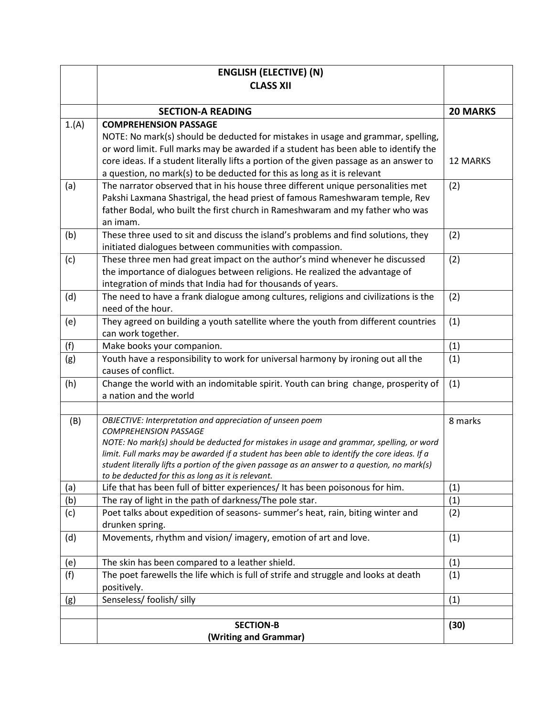|            | <b>ENGLISH (ELECTIVE) (N)</b>                                                                                                                                                            |                 |
|------------|------------------------------------------------------------------------------------------------------------------------------------------------------------------------------------------|-----------------|
|            | <b>CLASS XII</b>                                                                                                                                                                         |                 |
|            |                                                                                                                                                                                          |                 |
|            | <b>SECTION-A READING</b>                                                                                                                                                                 | <b>20 MARKS</b> |
| 1.(A)      | <b>COMPREHENSION PASSAGE</b>                                                                                                                                                             |                 |
|            | NOTE: No mark(s) should be deducted for mistakes in usage and grammar, spelling,                                                                                                         |                 |
|            | or word limit. Full marks may be awarded if a student has been able to identify the                                                                                                      |                 |
|            | core ideas. If a student literally lifts a portion of the given passage as an answer to<br>a question, no mark(s) to be deducted for this as long as it is relevant                      | <b>12 MARKS</b> |
| (a)        | The narrator observed that in his house three different unique personalities met                                                                                                         | (2)             |
|            | Pakshi Laxmana Shastrigal, the head priest of famous Rameshwaram temple, Rev                                                                                                             |                 |
|            | father Bodal, who built the first church in Rameshwaram and my father who was                                                                                                            |                 |
|            | an imam.                                                                                                                                                                                 |                 |
| (b)        | These three used to sit and discuss the island's problems and find solutions, they                                                                                                       | (2)             |
|            | initiated dialogues between communities with compassion.                                                                                                                                 |                 |
| (c)        | These three men had great impact on the author's mind whenever he discussed                                                                                                              | (2)             |
|            | the importance of dialogues between religions. He realized the advantage of                                                                                                              |                 |
|            | integration of minds that India had for thousands of years.                                                                                                                              |                 |
| (d)        | The need to have a frank dialogue among cultures, religions and civilizations is the                                                                                                     | (2)             |
|            | need of the hour.                                                                                                                                                                        |                 |
| (e)        | They agreed on building a youth satellite where the youth from different countries                                                                                                       | (1)             |
|            | can work together.                                                                                                                                                                       |                 |
| (f)<br>(g) | Make books your companion.<br>Youth have a responsibility to work for universal harmony by ironing out all the                                                                           | (1)<br>(1)      |
|            | causes of conflict.                                                                                                                                                                      |                 |
| (h)        | Change the world with an indomitable spirit. Youth can bring change, prosperity of                                                                                                       | (1)             |
|            | a nation and the world                                                                                                                                                                   |                 |
|            |                                                                                                                                                                                          |                 |
| (B)        | OBJECTIVE: Interpretation and appreciation of unseen poem                                                                                                                                | 8 marks         |
|            | <b>COMPREHENSION PASSAGE</b>                                                                                                                                                             |                 |
|            | NOTE: No mark(s) should be deducted for mistakes in usage and grammar, spelling, or word<br>limit. Full marks may be awarded if a student has been able to identify the core ideas. If a |                 |
|            | student literally lifts a portion of the given passage as an answer to a question, no mark(s)                                                                                            |                 |
|            | to be deducted for this as long as it is relevant.                                                                                                                                       |                 |
| (a)        | Life that has been full of bitter experiences/ It has been poisonous for him.                                                                                                            | (1)             |
| (b)        | The ray of light in the path of darkness/The pole star.                                                                                                                                  | (1)             |
| (c)        | Poet talks about expedition of seasons- summer's heat, rain, biting winter and                                                                                                           | (2)             |
|            | drunken spring.                                                                                                                                                                          |                 |
| (d)        | Movements, rhythm and vision/imagery, emotion of art and love.                                                                                                                           | (1)             |
|            |                                                                                                                                                                                          |                 |
| (e)<br>(f) | The skin has been compared to a leather shield.<br>The poet farewells the life which is full of strife and struggle and looks at death                                                   | (1)<br>(1)      |
|            | positively.                                                                                                                                                                              |                 |
| (g)        | Senseless/ foolish/ silly                                                                                                                                                                | (1)             |
|            |                                                                                                                                                                                          |                 |
|            | <b>SECTION-B</b>                                                                                                                                                                         | (30)            |
|            | (Writing and Grammar)                                                                                                                                                                    |                 |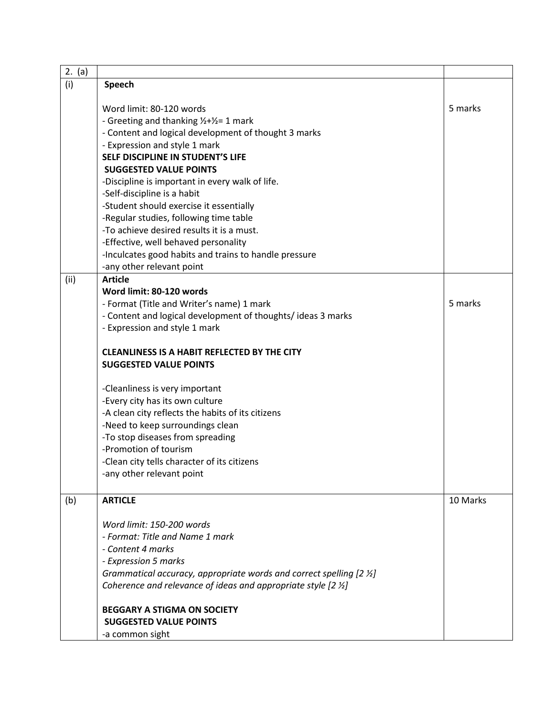| 2. (a) |                                                                          |          |
|--------|--------------------------------------------------------------------------|----------|
| (i)    | Speech                                                                   |          |
|        |                                                                          |          |
|        | Word limit: 80-120 words                                                 | 5 marks  |
|        | - Greeting and thanking 1/2+1/2= 1 mark                                  |          |
|        | - Content and logical development of thought 3 marks                     |          |
|        | - Expression and style 1 mark                                            |          |
|        | SELF DISCIPLINE IN STUDENT'S LIFE                                        |          |
|        | <b>SUGGESTED VALUE POINTS</b>                                            |          |
|        | -Discipline is important in every walk of life.                          |          |
|        | -Self-discipline is a habit                                              |          |
|        | -Student should exercise it essentially                                  |          |
|        | -Regular studies, following time table                                   |          |
|        | -To achieve desired results it is a must.                                |          |
|        | -Effective, well behaved personality                                     |          |
|        | -Inculcates good habits and trains to handle pressure                    |          |
|        | -any other relevant point                                                |          |
| (ii)   | <b>Article</b>                                                           |          |
|        | Word limit: 80-120 words                                                 |          |
|        | - Format (Title and Writer's name) 1 mark                                | 5 marks  |
|        |                                                                          |          |
|        | - Content and logical development of thoughts/ideas 3 marks              |          |
|        | - Expression and style 1 mark                                            |          |
|        |                                                                          |          |
|        | <b>CLEANLINESS IS A HABIT REFLECTED BY THE CITY</b>                      |          |
|        | <b>SUGGESTED VALUE POINTS</b>                                            |          |
|        | -Cleanliness is very important                                           |          |
|        | -Every city has its own culture                                          |          |
|        | -A clean city reflects the habits of its citizens                        |          |
|        | -Need to keep surroundings clean                                         |          |
|        | -To stop diseases from spreading                                         |          |
|        | -Promotion of tourism                                                    |          |
|        | -Clean city tells character of its citizens                              |          |
|        | -any other relevant point                                                |          |
|        |                                                                          |          |
| (b)    | <b>ARTICLE</b>                                                           | 10 Marks |
|        |                                                                          |          |
|        | Word limit: 150-200 words                                                |          |
|        | - Format: Title and Name 1 mark                                          |          |
|        | - Content 4 marks                                                        |          |
|        | - Expression 5 marks                                                     |          |
|        | Grammatical accuracy, appropriate words and correct spelling [2 1/2]     |          |
|        | Coherence and relevance of ideas and appropriate style $[2 \frac{1}{2}]$ |          |
|        |                                                                          |          |
|        | <b>BEGGARY A STIGMA ON SOCIETY</b>                                       |          |
|        | <b>SUGGESTED VALUE POINTS</b>                                            |          |
|        | -a common sight                                                          |          |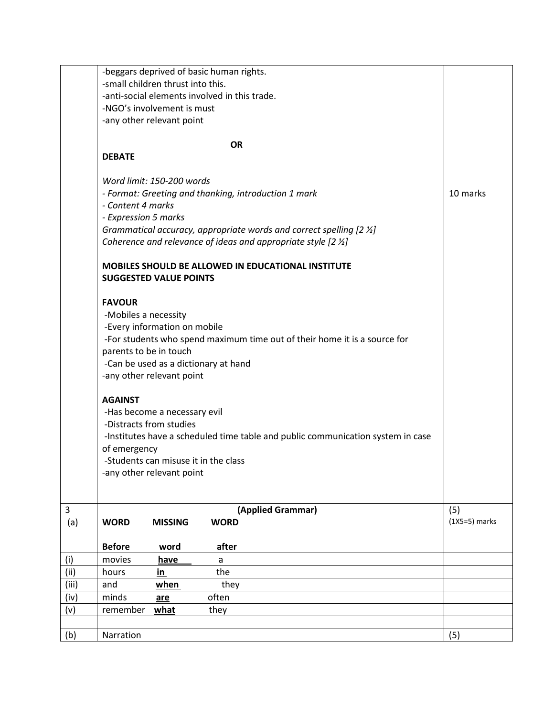|       | -beggars deprived of basic human rights.                                        |                 |
|-------|---------------------------------------------------------------------------------|-----------------|
|       | -small children thrust into this.                                               |                 |
|       | -anti-social elements involved in this trade.                                   |                 |
|       | -NGO's involvement is must                                                      |                 |
|       | -any other relevant point                                                       |                 |
|       |                                                                                 |                 |
|       | <b>OR</b><br><b>DEBATE</b>                                                      |                 |
|       |                                                                                 |                 |
|       | Word limit: 150-200 words                                                       |                 |
|       | - Format: Greeting and thanking, introduction 1 mark                            | 10 marks        |
|       | - Content 4 marks                                                               |                 |
|       | - Expression 5 marks                                                            |                 |
|       | Grammatical accuracy, appropriate words and correct spelling [2 1/2]            |                 |
|       | Coherence and relevance of ideas and appropriate style $[2 \frac{1}{2}]$        |                 |
|       | MOBILES SHOULD BE ALLOWED IN EDUCATIONAL INSTITUTE                              |                 |
|       | <b>SUGGESTED VALUE POINTS</b>                                                   |                 |
|       | <b>FAVOUR</b>                                                                   |                 |
|       | -Mobiles a necessity                                                            |                 |
|       | -Every information on mobile                                                    |                 |
|       | -For students who spend maximum time out of their home it is a source for       |                 |
|       | parents to be in touch                                                          |                 |
|       | -Can be used as a dictionary at hand                                            |                 |
|       | -any other relevant point                                                       |                 |
|       | <b>AGAINST</b>                                                                  |                 |
|       | -Has become a necessary evil                                                    |                 |
|       | -Distracts from studies                                                         |                 |
|       | -Institutes have a scheduled time table and public communication system in case |                 |
|       | of emergency                                                                    |                 |
|       | -Students can misuse it in the class                                            |                 |
|       | -any other relevant point                                                       |                 |
|       |                                                                                 |                 |
| 3     | (Applied Grammar)                                                               | (5)             |
| (a)   | <b>MISSING</b><br><b>WORD</b><br><b>WORD</b>                                    | $(1X5=5)$ marks |
|       |                                                                                 |                 |
|       | <b>Before</b><br>after<br>word                                                  |                 |
| (i)   | movies<br>have<br>a                                                             |                 |
| (ii)  | the<br>hours<br>in                                                              |                 |
| (iii) | when<br>they<br>and                                                             |                 |
| (iv)  | often<br>minds<br>are                                                           |                 |
| (v)   | remember<br>what<br>they                                                        |                 |
| (b)   | Narration                                                                       | (5)             |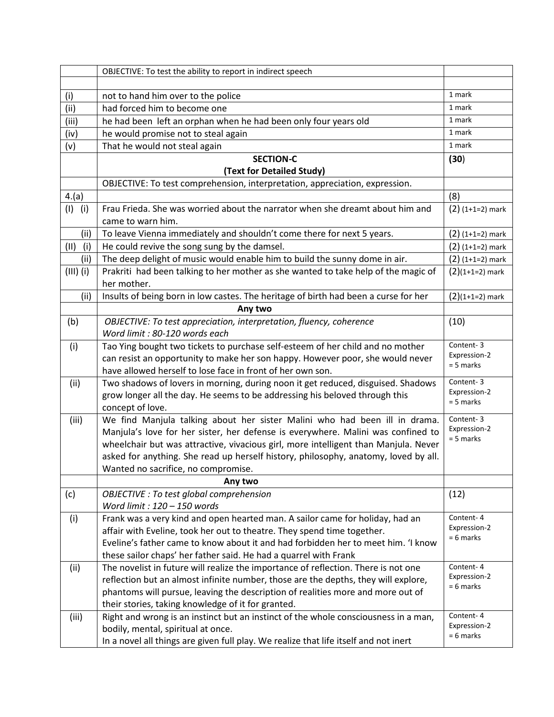|             | OBJECTIVE: To test the ability to report in indirect speech                                                               |                             |
|-------------|---------------------------------------------------------------------------------------------------------------------------|-----------------------------|
|             |                                                                                                                           |                             |
| (i)         | not to hand him over to the police                                                                                        | 1 mark                      |
| (ii)        | had forced him to become one                                                                                              | 1 mark                      |
| (iii)       | he had been left an orphan when he had been only four years old                                                           | 1 mark                      |
| (iv)        | he would promise not to steal again                                                                                       | 1 mark                      |
| (v)         | That he would not steal again                                                                                             | 1 mark                      |
|             | <b>SECTION-C</b>                                                                                                          | (30)                        |
|             | (Text for Detailed Study)                                                                                                 |                             |
|             | OBJECTIVE: To test comprehension, interpretation, appreciation, expression.                                               |                             |
| 4.(a)       |                                                                                                                           | (8)                         |
| $(I)$ (i)   | Frau Frieda. She was worried about the narrator when she dreamt about him and                                             | $(2)$ (1+1=2) mark          |
|             | came to warn him.                                                                                                         |                             |
| (ii)        | To leave Vienna immediately and shouldn't come there for next 5 years.                                                    | $(2)$ (1+1=2) mark          |
| (11)<br>(i) | He could revive the song sung by the damsel.                                                                              | $(2)$ (1+1=2) mark          |
| (ii)        | The deep delight of music would enable him to build the sunny dome in air.                                                | $(2)$ (1+1=2) mark          |
| $(III)$ (i) | Prakriti had been talking to her mother as she wanted to take help of the magic of                                        | $(2)(1+1=2)$ mark           |
|             | her mother.                                                                                                               |                             |
| (ii)        | Insults of being born in low castes. The heritage of birth had been a curse for her                                       | $(2)(1+1=2)$ mark           |
|             | Any two                                                                                                                   |                             |
| (b)         | OBJECTIVE: To test appreciation, interpretation, fluency, coherence                                                       | (10)                        |
|             | Word limit: 80-120 words each                                                                                             |                             |
| (i)         | Tao Ying bought two tickets to purchase self-esteem of her child and no mother                                            | Content-3                   |
|             | can resist an opportunity to make her son happy. However poor, she would never                                            | Expression-2<br>$= 5$ marks |
|             | have allowed herself to lose face in front of her own son.                                                                |                             |
| (ii)        | Two shadows of lovers in morning, during noon it get reduced, disguised. Shadows                                          | Content-3                   |
|             | grow longer all the day. He seems to be addressing his beloved through this                                               | Expression-2<br>$= 5$ marks |
|             | concept of love.                                                                                                          |                             |
| (iii)       | We find Manjula talking about her sister Malini who had been ill in drama.                                                | Content-3<br>Expression-2   |
|             | Manjula's love for her sister, her defense is everywhere. Malini was confined to                                          | $= 5$ marks                 |
|             | wheelchair but was attractive, vivacious girl, more intelligent than Manjula. Never                                       |                             |
|             | asked for anything. She read up herself history, philosophy, anatomy, loved by all.                                       |                             |
|             | Wanted no sacrifice, no compromise.                                                                                       |                             |
|             | Any two                                                                                                                   |                             |
| (c)         | OBJECTIVE : To test global comprehension                                                                                  | (12)                        |
|             | Word limit: $120 - 150$ words                                                                                             | Content-4                   |
| (i)         | Frank was a very kind and open hearted man. A sailor came for holiday, had an                                             | Expression-2                |
|             | affair with Eveline, took her out to theatre. They spend time together.                                                   | $= 6$ marks                 |
|             | Eveline's father came to know about it and had forbidden her to meet him. 'I know                                         |                             |
|             | these sailor chaps' her father said. He had a quarrel with Frank                                                          | Content-4                   |
| (ii)        | The novelist in future will realize the importance of reflection. There is not one                                        | Expression-2                |
|             | reflection but an almost infinite number, those are the depths, they will explore,                                        | $= 6$ marks                 |
|             | phantoms will pursue, leaving the description of realities more and more out of                                           |                             |
|             | their stories, taking knowledge of it for granted.                                                                        | Content-4                   |
| (iii)       | Right and wrong is an instinct but an instinct of the whole consciousness in a man,<br>bodily, mental, spiritual at once. | Expression-2                |
|             |                                                                                                                           | $= 6$ marks                 |
|             | In a novel all things are given full play. We realize that life itself and not inert                                      |                             |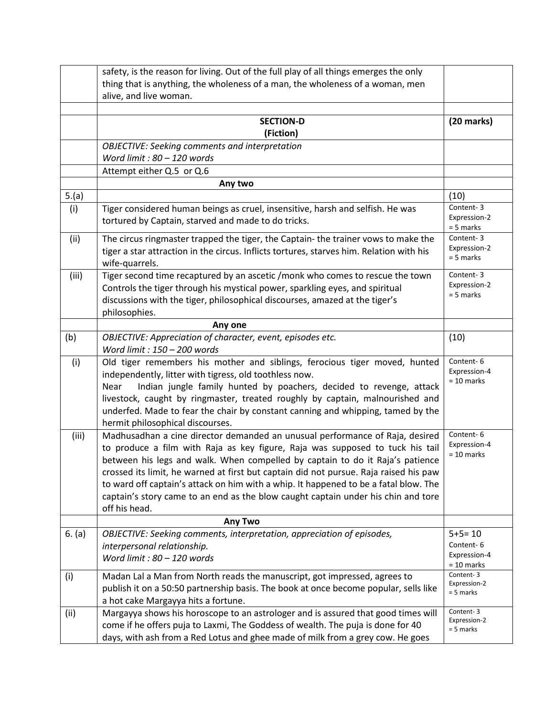|        | safety, is the reason for living. Out of the full play of all things emerges the only    |                             |
|--------|------------------------------------------------------------------------------------------|-----------------------------|
|        | thing that is anything, the wholeness of a man, the wholeness of a woman, men            |                             |
|        | alive, and live woman.                                                                   |                             |
|        |                                                                                          |                             |
|        | <b>SECTION-D</b>                                                                         | $(20$ marks)                |
|        | (Fiction)                                                                                |                             |
|        | <b>OBJECTIVE: Seeking comments and interpretation</b>                                    |                             |
|        | Word limit: $80 - 120$ words                                                             |                             |
|        | Attempt either Q.5 or Q.6                                                                |                             |
|        | Any two                                                                                  |                             |
| 5.(a)  |                                                                                          | (10)                        |
| (i)    | Tiger considered human beings as cruel, insensitive, harsh and selfish. He was           | Content-3                   |
|        | tortured by Captain, starved and made to do tricks.                                      | Expression-2<br>$= 5$ marks |
| (ii)   | The circus ringmaster trapped the tiger, the Captain- the trainer vows to make the       | Content-3                   |
|        | tiger a star attraction in the circus. Inflicts tortures, starves him. Relation with his | Expression-2<br>$= 5$ marks |
|        | wife-quarrels.                                                                           |                             |
| (iii)  | Tiger second time recaptured by an ascetic /monk who comes to rescue the town            | Content-3                   |
|        | Controls the tiger through his mystical power, sparkling eyes, and spiritual             | Expression-2                |
|        | discussions with the tiger, philosophical discourses, amazed at the tiger's              | $= 5$ marks                 |
|        | philosophies.                                                                            |                             |
|        | Any one                                                                                  |                             |
| (b)    | OBJECTIVE: Appreciation of character, event, episodes etc.                               | (10)                        |
|        | Word limit: 150 - 200 words                                                              |                             |
| (i)    | Old tiger remembers his mother and siblings, ferocious tiger moved, hunted               | Content-6                   |
|        | independently, litter with tigress, old toothless now.                                   | Expression-4                |
|        | Indian jungle family hunted by poachers, decided to revenge, attack<br>Near              | $= 10$ marks                |
|        | livestock, caught by ringmaster, treated roughly by captain, malnourished and            |                             |
|        | underfed. Made to fear the chair by constant canning and whipping, tamed by the          |                             |
|        | hermit philosophical discourses.                                                         |                             |
| (iii)  | Madhusadhan a cine director demanded an unusual performance of Raja, desired             | Content-6                   |
|        | to produce a film with Raja as key figure, Raja was supposed to tuck his tail            | Expression-4                |
|        | between his legs and walk. When compelled by captain to do it Raja's patience            | $= 10$ marks                |
|        | crossed its limit, he warned at first but captain did not pursue. Raja raised his paw    |                             |
|        | to ward off captain's attack on him with a whip. It happened to be a fatal blow. The     |                             |
|        | captain's story came to an end as the blow caught captain under his chin and tore        |                             |
|        | off his head.                                                                            |                             |
|        | <b>Any Two</b>                                                                           |                             |
| 6. (a) | OBJECTIVE: Seeking comments, interpretation, appreciation of episodes,                   | $5+5=10$                    |
|        | interpersonal relationship.                                                              | Content-6                   |
|        | Word limit: $80 - 120$ words                                                             | Expression-4                |
| (i)    | Madan Lal a Man from North reads the manuscript, got impressed, agrees to                | $= 10$ marks<br>Content-3   |
|        | publish it on a 50:50 partnership basis. The book at once become popular, sells like     | Expression-2                |
|        | a hot cake Margayya hits a fortune.                                                      | $= 5$ marks                 |
| (ii)   | Margayya shows his horoscope to an astrologer and is assured that good times will        | Content-3                   |
|        | come if he offers puja to Laxmi, The Goddess of wealth. The puja is done for 40          | Expression-2                |
|        | days, with ash from a Red Lotus and ghee made of milk from a grey cow. He goes           | = 5 marks                   |
|        |                                                                                          |                             |